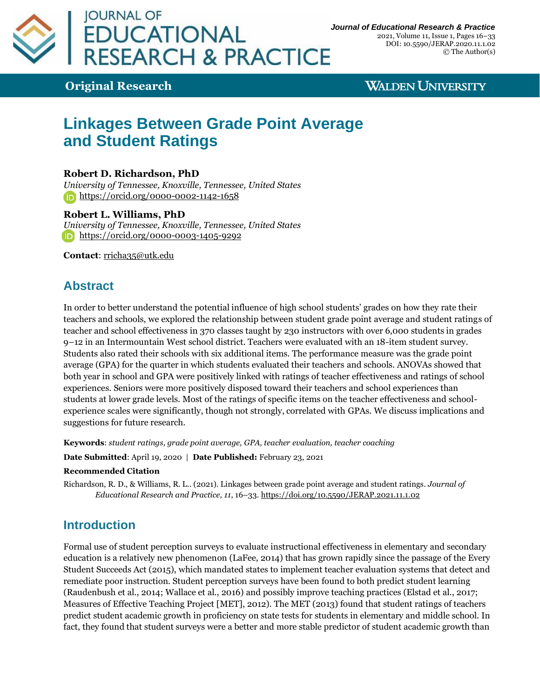

**Original Research**

**WALDEN UNIVERSITY** 

# **Linkages Between Grade Point Average and Student Ratings**

### **Robert D. Richardson, PhD**

*University of Tennessee, Knoxville, Tennessee, United States* <https://orcid.org/0000-0002-1142-1658>

### **Robert L. Williams, PhD**

*University of Tennessee, Knoxville, Tennessee, United States* **iD** [https://orcid.org/0000-0003-1405-9292](https://orcid.org/0000-0002-1142-1658)

**Contact**: [rricha35@utk.edu](http://rricha35@utk.edu/)

# **Abstract**

In order to better understand the potential influence of high school students' grades on how they rate their teachers and schools, we explored the relationship between student grade point average and student ratings of teacher and school effectiveness in 370 classes taught by 230 instructors with over 6,000 students in grades 9–12 in an Intermountain West school district. Teachers were evaluated with an 18-item student survey. Students also rated their schools with six additional items. The performance measure was the grade point average (GPA) for the quarter in which students evaluated their teachers and schools. ANOVAs showed that both year in school and GPA were positively linked with ratings of teacher effectiveness and ratings of school experiences. Seniors were more positively disposed toward their teachers and school experiences than students at lower grade levels. Most of the ratings of specific items on the teacher effectiveness and schoolexperience scales were significantly, though not strongly, correlated with GPAs. We discuss implications and suggestions for future research.

**Keywords**: *student ratings, grade point average, GPA, teacher evaluation, teacher coaching*

**Date Submitted**: April 19, 2020 | **Date Published:** February 23, 2021

#### **Recommended Citation**

Richardson, R. D., & Williams, R. L.. (2021). Linkages between grade point average and student ratings. *Journal of Educational Research and Practice, 11*, 16–33[. https://doi.org/10.5590/JERAP.2021.11.1.02](https://doi.org/10.5590/JERAP.2021.11.1.02)

## **Introduction**

Formal use of student perception surveys to evaluate instructional effectiveness in elementary and secondary education is a relatively new phenomenon (LaFee, 2014) that has grown rapidly since the passage of the Every Student Succeeds Act (2015), which mandated states to implement teacher evaluation systems that detect and remediate poor instruction. Student perception surveys have been found to both predict student learning (Raudenbush et al., 2014; Wallace et al., 2016) and possibly improve teaching practices (Elstad et al., 2017; Measures of Effective Teaching Project [MET], 2012). The MET (2013) found that student ratings of teachers predict student academic growth in proficiency on state tests for students in elementary and middle school. In fact, they found that student surveys were a better and more stable predictor of student academic growth than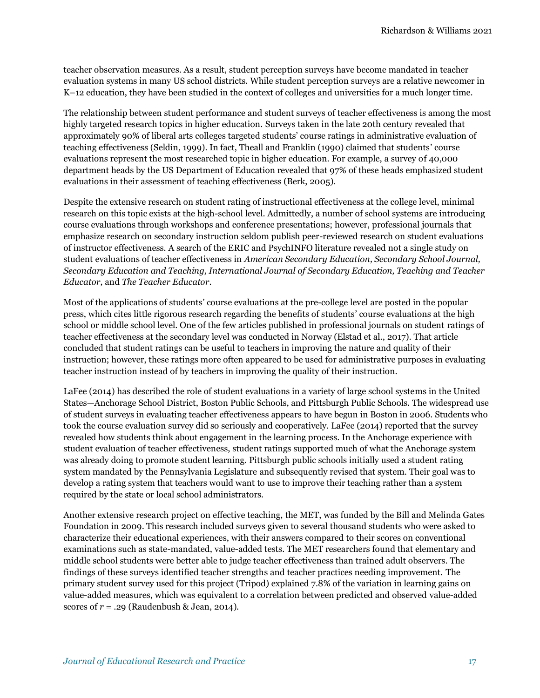teacher observation measures. As a result, student perception surveys have become mandated in teacher evaluation systems in many US school districts. While student perception surveys are a relative newcomer in K–12 education, they have been studied in the context of colleges and universities for a much longer time.

The relationship between student performance and student surveys of teacher effectiveness is among the most highly targeted research topics in higher education. Surveys taken in the late 20th century revealed that approximately 90% of liberal arts colleges targeted students' course ratings in administrative evaluation of teaching effectiveness (Seldin, 1999). In fact, Theall and Franklin (1990) claimed that students' course evaluations represent the most researched topic in higher education. For example, a survey of 40,000 department heads by the US Department of Education revealed that 97% of these heads emphasized student evaluations in their assessment of teaching effectiveness (Berk, 2005).

Despite the extensive research on student rating of instructional effectiveness at the college level, minimal research on this topic exists at the high-school level. Admittedly, a number of school systems are introducing course evaluations through workshops and conference presentations; however, professional journals that emphasize research on secondary instruction seldom publish peer-reviewed research on student evaluations of instructor effectiveness. A search of the ERIC and PsychINFO literature revealed not a single study on student evaluations of teacher effectiveness in *American Secondary Education, Secondary School Journal, Secondary Education and Teaching, International Journal of Secondary Education, Teaching and Teacher Educator,* and *The Teacher Educator*.

Most of the applications of students' course evaluations at the pre-college level are posted in the popular press, which cites little rigorous research regarding the benefits of students' course evaluations at the high school or middle school level. One of the few articles published in professional journals on student ratings of teacher effectiveness at the secondary level was conducted in Norway (Elstad et al., 2017). That article concluded that student ratings can be useful to teachers in improving the nature and quality of their instruction; however, these ratings more often appeared to be used for administrative purposes in evaluating teacher instruction instead of by teachers in improving the quality of their instruction.

LaFee (2014) has described the role of student evaluations in a variety of large school systems in the United States—Anchorage School District, Boston Public Schools, and Pittsburgh Public Schools. The widespread use of student surveys in evaluating teacher effectiveness appears to have begun in Boston in 2006. Students who took the course evaluation survey did so seriously and cooperatively. LaFee (2014) reported that the survey revealed how students think about engagement in the learning process. In the Anchorage experience with student evaluation of teacher effectiveness, student ratings supported much of what the Anchorage system was already doing to promote student learning. Pittsburgh public schools initially used a student rating system mandated by the Pennsylvania Legislature and subsequently revised that system. Their goal was to develop a rating system that teachers would want to use to improve their teaching rather than a system required by the state or local school administrators.

Another extensive research project on effective teaching, the MET, was funded by the Bill and Melinda Gates Foundation in 2009. This research included surveys given to several thousand students who were asked to characterize their educational experiences, with their answers compared to their scores on conventional examinations such as state-mandated, value-added tests. The MET researchers found that elementary and middle school students were better able to judge teacher effectiveness than trained adult observers. The findings of these surveys identified teacher strengths and teacher practices needing improvement. The primary student survey used for this project (Tripod) explained 7.8% of the variation in learning gains on value-added measures, which was equivalent to a correlation between predicted and observed value-added scores of *r* = .29 (Raudenbush & Jean, 2014).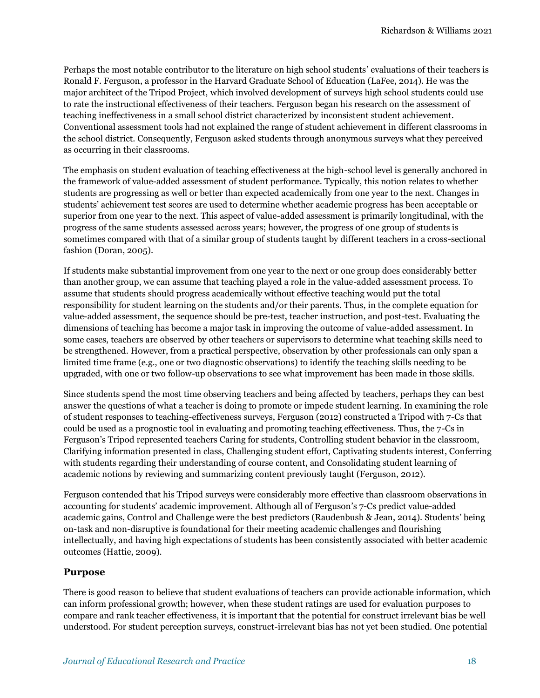Perhaps the most notable contributor to the literature on high school students' evaluations of their teachers is Ronald F. Ferguson, a professor in the Harvard Graduate School of Education (LaFee, 2014). He was the major architect of the Tripod Project, which involved development of surveys high school students could use to rate the instructional effectiveness of their teachers. Ferguson began his research on the assessment of teaching ineffectiveness in a small school district characterized by inconsistent student achievement. Conventional assessment tools had not explained the range of student achievement in different classrooms in the school district. Consequently, Ferguson asked students through anonymous surveys what they perceived as occurring in their classrooms.

The emphasis on student evaluation of teaching effectiveness at the high-school level is generally anchored in the framework of value-added assessment of student performance. Typically, this notion relates to whether students are progressing as well or better than expected academically from one year to the next. Changes in students' achievement test scores are used to determine whether academic progress has been acceptable or superior from one year to the next. This aspect of value-added assessment is primarily longitudinal, with the progress of the same students assessed across years; however, the progress of one group of students is sometimes compared with that of a similar group of students taught by different teachers in a cross-sectional fashion (Doran, 2005).

If students make substantial improvement from one year to the next or one group does considerably better than another group, we can assume that teaching played a role in the value-added assessment process. To assume that students should progress academically without effective teaching would put the total responsibility for student learning on the students and/or their parents. Thus, in the complete equation for value-added assessment, the sequence should be pre-test, teacher instruction, and post-test. Evaluating the dimensions of teaching has become a major task in improving the outcome of value-added assessment. In some cases, teachers are observed by other teachers or supervisors to determine what teaching skills need to be strengthened. However, from a practical perspective, observation by other professionals can only span a limited time frame (e.g., one or two diagnostic observations) to identify the teaching skills needing to be upgraded, with one or two follow-up observations to see what improvement has been made in those skills.

Since students spend the most time observing teachers and being affected by teachers, perhaps they can best answer the questions of what a teacher is doing to promote or impede student learning. In examining the role of student responses to teaching-effectiveness surveys, Ferguson (2012) constructed a Tripod with 7-Cs that could be used as a prognostic tool in evaluating and promoting teaching effectiveness. Thus, the 7-Cs in Ferguson's Tripod represented teachers Caring for students, Controlling student behavior in the classroom, Clarifying information presented in class, Challenging student effort, Captivating students interest, Conferring with students regarding their understanding of course content, and Consolidating student learning of academic notions by reviewing and summarizing content previously taught (Ferguson, 2012).

Ferguson contended that his Tripod surveys were considerably more effective than classroom observations in accounting for students' academic improvement. Although all of Ferguson's 7-Cs predict value-added academic gains, Control and Challenge were the best predictors (Raudenbush & Jean, 2014). Students' being on-task and non-disruptive is foundational for their meeting academic challenges and flourishing intellectually, and having high expectations of students has been consistently associated with better academic outcomes (Hattie, 2009).

### **Purpose**

There is good reason to believe that student evaluations of teachers can provide actionable information, which can inform professional growth; however, when these student ratings are used for evaluation purposes to compare and rank teacher effectiveness, it is important that the potential for construct irrelevant bias be well understood. For student perception surveys, construct-irrelevant bias has not yet been studied. One potential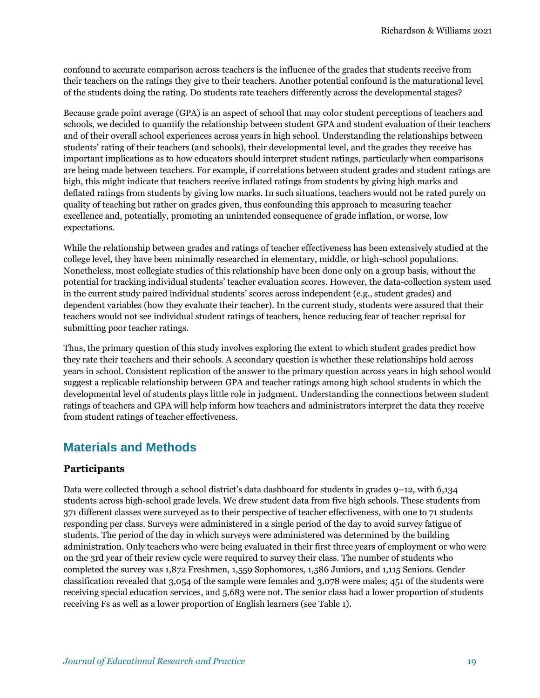confound to accurate comparison across teachers is the influence of the grades that students receive from their teachers on the ratings they give to their teachers. Another potential confound is the maturational level of the students doing the rating. Do students rate teachers differently across the developmental stages?

Because grade point average (GPA) is an aspect of school that may color student perceptions of teachers and schools, we decided to quantify the relationship between student GPA and student evaluation of their teachers and of their overall school experiences across years in high school. Understanding the relationships between students' rating of their teachers (and schools), their developmental level, and the grades they receive has important implications as to how educators should interpret student ratings, particularly when comparisons are being made between teachers. For example, if correlations between student grades and student ratings are high, this might indicate that teachers receive inflated ratings from students by giving high marks and deflated ratings from students by giving low marks. In such situations, teachers would not be rated purely on quality of teaching but rather on grades given, thus confounding this approach to measuring teacher excellence and, potentially, promoting an unintended consequence of grade inflation, or worse, low expectations.

While the relationship between grades and ratings of teacher effectiveness has been extensively studied at the college level, they have been minimally researched in elementary, middle, or high-school populations. Nonetheless, most collegiate studies of this relationship have been done only on a group basis, without the potential for tracking individual students' teacher evaluation scores. However, the data-collection system used in the current study paired individual students' scores across independent (e.g., student grades) and dependent variables (how they evaluate their teacher). In the current study, students were assured that their teachers would not see individual student ratings of teachers, hence reducing fear of teacher reprisal for submitting poor teacher ratings.

Thus, the primary question of this study involves exploring the extent to which student grades predict how they rate their teachers and their schools. A secondary question is whether these relationships hold across years in school. Consistent replication of the answer to the primary question across years in high school would suggest a replicable relationship between GPA and teacher ratings among high school students in which the developmental level of students plays little role in judgment. Understanding the connections between student ratings of teachers and GPA will help inform how teachers and administrators interpret the data they receive from student ratings of teacher effectiveness.

# **Materials and Methods**

### **Participants**

Data were collected through a school district's data dashboard for students in grades 9–12, with 6,134 students across high-school grade levels. We drew student data from five high schools. These students from 371 different classes were surveyed as to their perspective of teacher effectiveness, with one to 71 students responding per class. Surveys were administered in a single period of the day to avoid survey fatigue of students. The period of the day in which surveys were administered was determined by the building administration. Only teachers who were being evaluated in their first three years of employment or who were on the 3rd year of their review cycle were required to survey their class. The number of students who completed the survey was 1,872 Freshmen, 1,559 Sophomores, 1,586 Juniors, and 1,115 Seniors. Gender classification revealed that 3,054 of the sample were females and 3,078 were males; 451 of the students were receiving special education services, and 5,683 were not. The senior class had a lower proportion of students receiving Fs as well as a lower proportion of English learners (see Table 1).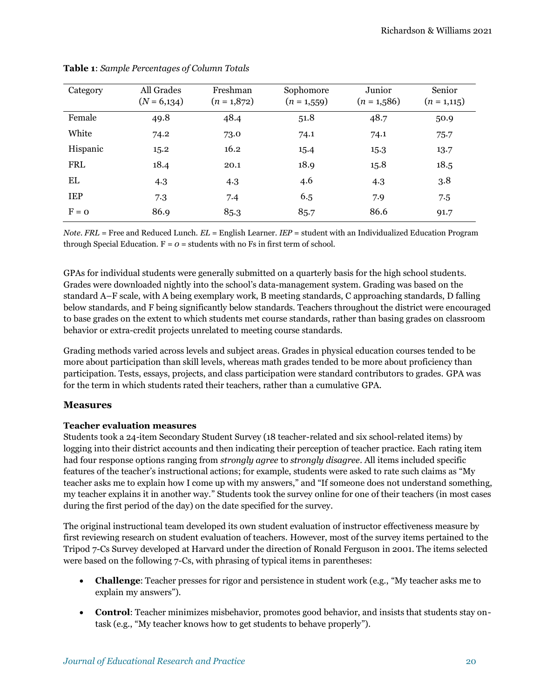| Category   | All Grades<br>$(N = 6,134)$ | Freshman<br>$(n = 1,872)$ | Sophomore<br>$(n = 1,559)$ | Junior<br>$(n = 1.586)$ | Senior<br>$(n = 1,115)$ |
|------------|-----------------------------|---------------------------|----------------------------|-------------------------|-------------------------|
| Female     | 49.8                        | 48.4                      | 51.8                       | 48.7                    | 50.9                    |
| White      | 74.2                        | 73.0                      | 74.1                       | 74.1                    | 75.7                    |
| Hispanic   | 15.2                        | 16.2                      | 15.4                       | 15.3                    | 13.7                    |
| <b>FRL</b> | 18.4                        | 20.1                      | 18.9                       | 15.8                    | 18.5                    |
| EL         | 4.3                         | 4.3                       | 4.6                        | 4.3                     | 3.8                     |
| <b>IEP</b> | 7.3                         | 7.4                       | 6.5                        | 7.9                     | 7.5                     |
| $F = 0$    | 86.9                        | 85.3                      | 85.7                       | 86.6                    | 91.7                    |

**Table 1**: *Sample Percentages of Column Totals*

*Note*. *FRL* = Free and Reduced Lunch. *EL* = English Learner. *IEP* = student with an Individualized Education Program through Special Education.  $F = 0$  = students with no Fs in first term of school.

GPAs for individual students were generally submitted on a quarterly basis for the high school students. Grades were downloaded nightly into the school's data-management system. Grading was based on the standard A–F scale, with A being exemplary work, B meeting standards, C approaching standards, D falling below standards, and F being significantly below standards. Teachers throughout the district were encouraged to base grades on the extent to which students met course standards, rather than basing grades on classroom behavior or extra-credit projects unrelated to meeting course standards.

Grading methods varied across levels and subject areas. Grades in physical education courses tended to be more about participation than skill levels, whereas math grades tended to be more about proficiency than participation. Tests, essays, projects, and class participation were standard contributors to grades. GPA was for the term in which students rated their teachers, rather than a cumulative GPA.

### **Measures**

### **Teacher evaluation measures**

Students took a 24-item Secondary Student Survey (18 teacher-related and six school-related items) by logging into their district accounts and then indicating their perception of teacher practice. Each rating item had four response options ranging from *strongly agree* to *strongly disagree*. All items included specific features of the teacher's instructional actions; for example, students were asked to rate such claims as "My teacher asks me to explain how I come up with my answers," and "If someone does not understand something, my teacher explains it in another way." Students took the survey online for one of their teachers (in most cases during the first period of the day) on the date specified for the survey.

The original instructional team developed its own student evaluation of instructor effectiveness measure by first reviewing research on student evaluation of teachers. However, most of the survey items pertained to the Tripod 7-Cs Survey developed at Harvard under the direction of Ronald Ferguson in 2001. The items selected were based on the following 7-Cs, with phrasing of typical items in parentheses:

- **Challenge**: Teacher presses for rigor and persistence in student work (e.g., "My teacher asks me to explain my answers").
- **Control**: Teacher minimizes misbehavior, promotes good behavior, and insists that students stay ontask (e.g., "My teacher knows how to get students to behave properly").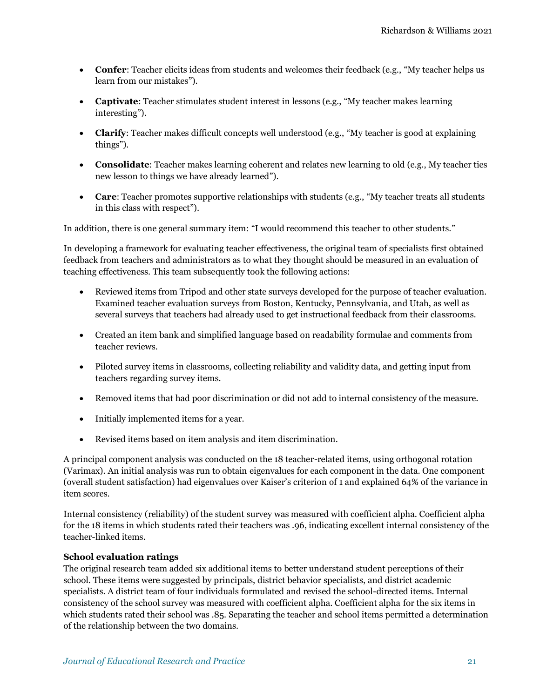- **Confer**: Teacher elicits ideas from students and welcomes their feedback (e.g., "My teacher helps us learn from our mistakes").
- **Captivate**: Teacher stimulates student interest in lessons (e.g., "My teacher makes learning interesting").
- **Clarify**: Teacher makes difficult concepts well understood (e.g., "My teacher is good at explaining things").
- **Consolidate**: Teacher makes learning coherent and relates new learning to old (e.g., My teacher ties new lesson to things we have already learned").
- **Care:** Teacher promotes supportive relationships with students (e.g., "My teacher treats all students in this class with respect").

In addition, there is one general summary item: "I would recommend this teacher to other students."

In developing a framework for evaluating teacher effectiveness, the original team of specialists first obtained feedback from teachers and administrators as to what they thought should be measured in an evaluation of teaching effectiveness. This team subsequently took the following actions:

- Reviewed items from Tripod and other state surveys developed for the purpose of teacher evaluation. Examined teacher evaluation surveys from Boston, Kentucky, Pennsylvania, and Utah, as well as several surveys that teachers had already used to get instructional feedback from their classrooms.
- Created an item bank and simplified language based on readability formulae and comments from teacher reviews.
- Piloted survey items in classrooms, collecting reliability and validity data, and getting input from teachers regarding survey items.
- Removed items that had poor discrimination or did not add to internal consistency of the measure.
- Initially implemented items for a year.
- Revised items based on item analysis and item discrimination.

A principal component analysis was conducted on the 18 teacher-related items, using orthogonal rotation (Varimax). An initial analysis was run to obtain eigenvalues for each component in the data. One component (overall student satisfaction) had eigenvalues over Kaiser's criterion of 1 and explained 64% of the variance in item scores.

Internal consistency (reliability) of the student survey was measured with coefficient alpha. Coefficient alpha for the 18 items in which students rated their teachers was .96, indicating excellent internal consistency of the teacher-linked items.

### **School evaluation ratings**

The original research team added six additional items to better understand student perceptions of their school. These items were suggested by principals, district behavior specialists, and district academic specialists. A district team of four individuals formulated and revised the school-directed items. Internal consistency of the school survey was measured with coefficient alpha. Coefficient alpha for the six items in which students rated their school was .85. Separating the teacher and school items permitted a determination of the relationship between the two domains.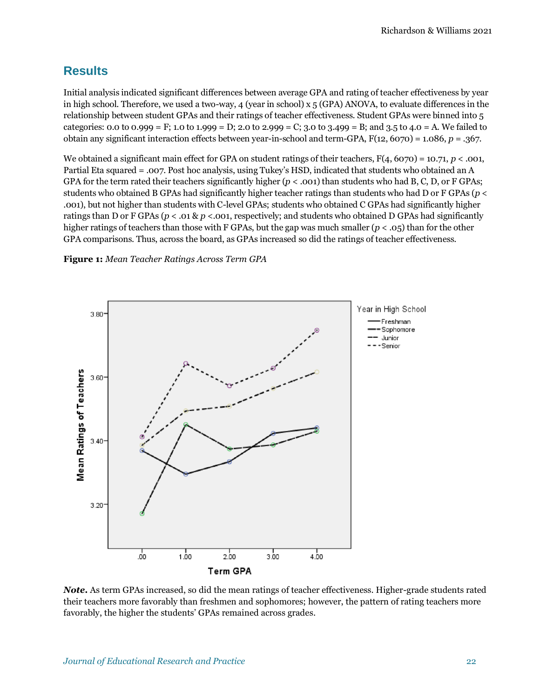### **Results**

Initial analysis indicated significant differences between average GPA and rating of teacher effectiveness by year in high school. Therefore, we used a two-way, 4 (year in school)  $x 5$  (GPA) ANOVA, to evaluate differences in the relationship between student GPAs and their ratings of teacher effectiveness. Student GPAs were binned into 5 categories: 0.0 to 0.999 = F; 1.0 to 1.999 = D; 2.0 to 2.999 = C; 3.0 to 3.499 = B; and 3.5 to 4.0 = A. We failed to obtain any significant interaction effects between year-in-school and term-GPA, F(12, 6070) = 1.086, *p* = .367.

We obtained a significant main effect for GPA on student ratings of their teachers, F(4, 6070) = 10.71, *p* < .001, Partial Eta squared = .007. Post hoc analysis, using Tukey's HSD, indicated that students who obtained an A GPA for the term rated their teachers significantly higher ( $p < .001$ ) than students who had B, C, D, or F GPAs; students who obtained B GPAs had significantly higher teacher ratings than students who had D or F GPAs (*p* < .001), but not higher than students with C-level GPAs; students who obtained C GPAs had significantly higher ratings than D or F GPAs (*p* < .01 & *p* <.001, respectively; and students who obtained D GPAs had significantly higher ratings of teachers than those with F GPAs, but the gap was much smaller (*p* < .05) than for the other GPA comparisons. Thus, across the board, as GPAs increased so did the ratings of teacher effectiveness.

**Figure 1:** *Mean Teacher Ratings Across Term GPA*



*Note***.** As term GPAs increased, so did the mean ratings of teacher effectiveness. Higher-grade students rated their teachers more favorably than freshmen and sophomores; however, the pattern of rating teachers more favorably, the higher the students' GPAs remained across grades.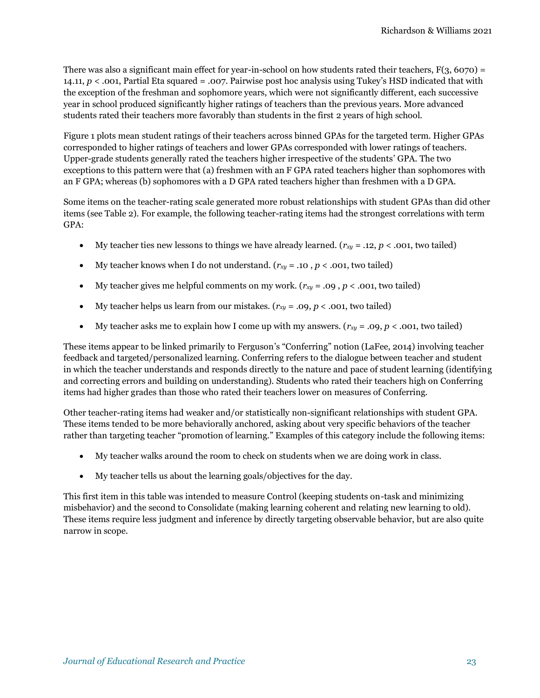There was also a significant main effect for year-in-school on how students rated their teachers,  $F(3, 6070) =$ 14.11,  $p <$  .001, Partial Eta squared = .007. Pairwise post hoc analysis using Tukey's HSD indicated that with the exception of the freshman and sophomore years, which were not significantly different, each successive year in school produced significantly higher ratings of teachers than the previous years. More advanced students rated their teachers more favorably than students in the first 2 years of high school.

Figure 1 plots mean student ratings of their teachers across binned GPAs for the targeted term. Higher GPAs corresponded to higher ratings of teachers and lower GPAs corresponded with lower ratings of teachers. Upper-grade students generally rated the teachers higher irrespective of the students' GPA. The two exceptions to this pattern were that (a) freshmen with an F GPA rated teachers higher than sophomores with an F GPA; whereas (b) sophomores with a D GPA rated teachers higher than freshmen with a D GPA.

Some items on the teacher-rating scale generated more robust relationships with student GPAs than did other items (see Table 2). For example, the following teacher-rating items had the strongest correlations with term GPA:

- My teacher ties new lessons to things we have already learned.  $(r_{xq} = .12, p < .001,$  two tailed)
- My teacher knows when I do not understand.  $(r_{xy} = .10, p < .001,$  two tailed)
- My teacher gives me helpful comments on my work.  $(r_{xy} = .09, p < .001,$  two tailed)
- My teacher helps us learn from our mistakes.  $(r_{xy} = .09, p < .001,$  two tailed)
- My teacher asks me to explain how I come up with my answers.  $(r_{xy} = .09, p < .001,$  two tailed)

These items appear to be linked primarily to Ferguson's "Conferring" notion (LaFee, 2014) involving teacher feedback and targeted/personalized learning. Conferring refers to the dialogue between teacher and student in which the teacher understands and responds directly to the nature and pace of student learning (identifying and correcting errors and building on understanding). Students who rated their teachers high on Conferring items had higher grades than those who rated their teachers lower on measures of Conferring.

Other teacher-rating items had weaker and/or statistically non-significant relationships with student GPA. These items tended to be more behaviorally anchored, asking about very specific behaviors of the teacher rather than targeting teacher "promotion of learning." Examples of this category include the following items:

- My teacher walks around the room to check on students when we are doing work in class.
- My teacher tells us about the learning goals/objectives for the day.

This first item in this table was intended to measure Control (keeping students on-task and minimizing misbehavior) and the second to Consolidate (making learning coherent and relating new learning to old). These items require less judgment and inference by directly targeting observable behavior, but are also quite narrow in scope.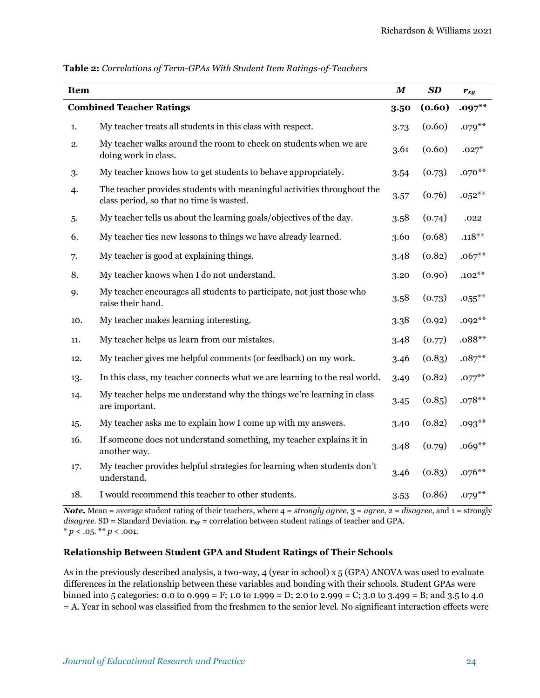| <b>Item</b> |                                                                                                                     | $\boldsymbol{M}$ | SD     | $r_{xy}$  |
|-------------|---------------------------------------------------------------------------------------------------------------------|------------------|--------|-----------|
|             | <b>Combined Teacher Ratings</b>                                                                                     | 3.50             | (0.60) | $.097***$ |
| 1.          | My teacher treats all students in this class with respect.                                                          | 3.73             | (0.60) | $.079***$ |
| 2.          | My teacher walks around the room to check on students when we are<br>doing work in class.                           | 3.61             | (0.60) | $.027*$   |
| 3.          | My teacher knows how to get students to behave appropriately.                                                       | 3.54             | (0.73) | $.070**$  |
| 4.          | The teacher provides students with meaningful activities throughout the<br>class period, so that no time is wasted. | 3.57             | (0.76) | $.052***$ |
| 5.          | My teacher tells us about the learning goals/objectives of the day.                                                 | 3.58             | (0.74) | .022      |
| 6.          | My teacher ties new lessons to things we have already learned.                                                      | 3.60             | (0.68) | $.118**$  |
| 7.          | My teacher is good at explaining things.                                                                            | 3.48             | (0.82) | $.067**$  |
| 8.          | My teacher knows when I do not understand.                                                                          | 3.20             | (0.90) | $.102***$ |
| 9.          | My teacher encourages all students to participate, not just those who<br>raise their hand.                          | 3.58             | (0.73) | $.055***$ |
| 10.         | My teacher makes learning interesting.                                                                              | 3.38             | (0.92) | $.092**$  |
| 11.         | My teacher helps us learn from our mistakes.                                                                        | 3.48             | (0.77) | $.088**$  |
| 12.         | My teacher gives me helpful comments (or feedback) on my work.                                                      | 3.46             | (0.83) | $.087**$  |
| 13.         | In this class, my teacher connects what we are learning to the real world.                                          | 3.49             | (0.82) | $.077***$ |
| 14.         | My teacher helps me understand why the things we're learning in class<br>are important.                             | 3.45             | (0.85) | $.078**$  |
| 15.         | My teacher asks me to explain how I come up with my answers.                                                        | 3.40             | (0.82) | $.093***$ |
| 16.         | If someone does not understand something, my teacher explains it in<br>another way.                                 | 3.48             | (0.79) | $.069**$  |
| 17.         | My teacher provides helpful strategies for learning when students don't<br>understand.                              | 3.46             | (0.83) | $.076**$  |
| 18.         | I would recommend this teacher to other students.                                                                   | 3.53             | (0.86) | $.079***$ |

#### **Table 2:** *Correlations of Term-GPAs With Student Item Ratings-of-Teachers*

*Note.* Mean = average student rating of their teachers, where 4 = *strongly agree*, 3 = *agree*, 2 = *disagree*, and 1 = strongly *disagree*. SD = Standard Deviation. **rxy** = correlation between student ratings of teacher and GPA.  $*$  *p* < .05. \*\* *p* < .001.

### **Relationship Between Student GPA and Student Ratings of Their Schools**

As in the previously described analysis, a two-way, 4 (year in school) x 5 (GPA) ANOVA was used to evaluate differences in the relationship between these variables and bonding with their schools. Student GPAs were binned into 5 categories: 0.0 to 0.999 = F; 1.0 to 1.999 = D; 2.0 to 2.999 = C; 3.0 to 3.499 = B; and 3.5 to 4.0 = A. Year in school was classified from the freshmen to the senior level. No significant interaction effects were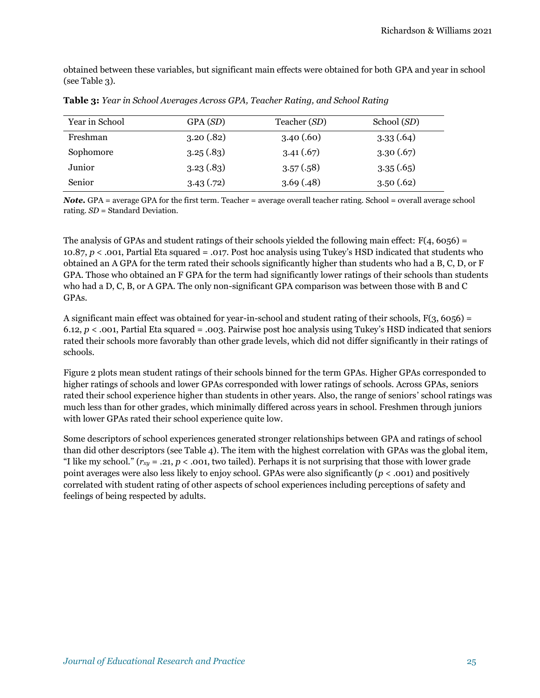obtained between these variables, but significant main effects were obtained for both GPA and year in school (see Table 3).

| Year in School | GPA (SD)   | Teacher (SD) | School (SD) |
|----------------|------------|--------------|-------------|
| Freshman       | 3.20(.82)  | 3.40(0.60)   | 3.33(.64)   |
| Sophomore      | 3.25(.83)  | 3.41(.67)    | 3.30(.67)   |
| Junior         | 3.23(0.83) | 3.57(.58)    | 3.35(.65)   |
| Senior         | 3.43(.72)  | 3.69(.48)    | 3.50(.62)   |

**Table 3:** *Year in School Averages Across GPA, Teacher Rating, and School Rating*

*Note.* GPA = average GPA for the first term. Teacher = average overall teacher rating. School = overall average school rating. *SD* = Standard Deviation.

The analysis of GPAs and student ratings of their schools yielded the following main effect:  $F(4, 6056) =$ 10.87, *p* < .001, Partial Eta squared = .017. Post hoc analysis using Tukey's HSD indicated that students who obtained an A GPA for the term rated their schools significantly higher than students who had a B, C, D, or F GPA. Those who obtained an F GPA for the term had significantly lower ratings of their schools than students who had a D, C, B, or A GPA. The only non-significant GPA comparison was between those with B and C GPAs.

A significant main effect was obtained for year-in-school and student rating of their schools,  $F(3, 6056) =$ 6.12, *p* < .001, Partial Eta squared = .003. Pairwise post hoc analysis using Tukey's HSD indicated that seniors rated their schools more favorably than other grade levels, which did not differ significantly in their ratings of schools.

Figure 2 plots mean student ratings of their schools binned for the term GPAs. Higher GPAs corresponded to higher ratings of schools and lower GPAs corresponded with lower ratings of schools. Across GPAs, seniors rated their school experience higher than students in other years. Also, the range of seniors' school ratings was much less than for other grades, which minimally differed across years in school. Freshmen through juniors with lower GPAs rated their school experience quite low.

Some descriptors of school experiences generated stronger relationships between GPA and ratings of school than did other descriptors (see Table 4). The item with the highest correlation with GPAs was the global item, "I like my school." ( $r_{xy}$  = .21,  $p$  < .001, two tailed). Perhaps it is not surprising that those with lower grade point averages were also less likely to enjoy school. GPAs were also significantly (*p* < .001) and positively correlated with student rating of other aspects of school experiences including perceptions of safety and feelings of being respected by adults.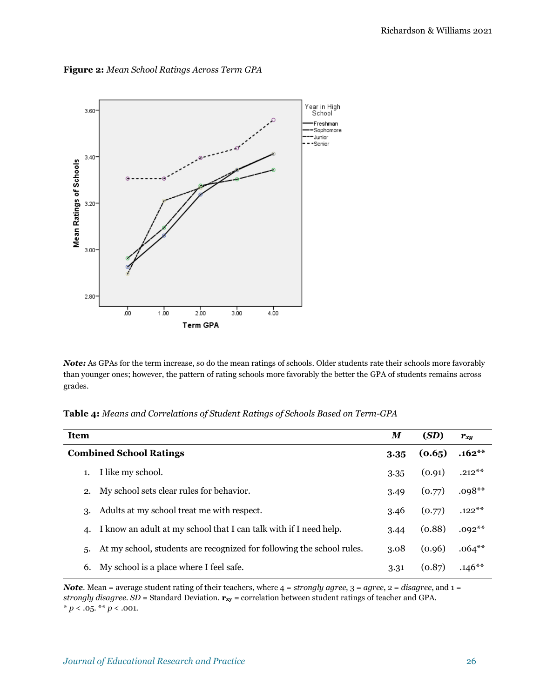**Figure 2:** *Mean School Ratings Across Term GPA*



*Note:* As GPAs for the term increase, so do the mean ratings of schools. Older students rate their schools more favorably than younger ones; however, the pattern of rating schools more favorably the better the GPA of students remains across grades.

**Table 4:** *Means and Correlations of Student Ratings of Schools Based on Term-GPA* 

| Item                           |                                                                       | М    | (SD)   | $r_{x}$   |
|--------------------------------|-----------------------------------------------------------------------|------|--------|-----------|
| <b>Combined School Ratings</b> |                                                                       | 3.35 | (0.65) | $.162***$ |
|                                | I like my school.                                                     | 3.35 | (0.91) | $.212***$ |
| 2.                             | My school sets clear rules for behavior.                              | 3.49 | (0.77) | $.098**$  |
| 3.                             | Adults at my school treat me with respect.                            | 3.46 | (0.77) | $.122***$ |
| 4.                             | I know an adult at my school that I can talk with if I need help.     | 3.44 | (0.88) | $.092**$  |
| 5.                             | At my school, students are recognized for following the school rules. | 3.08 | (0.96) | $.064***$ |
| 6.                             | My school is a place where I feel safe.                               | 3.31 | (0.87) | $.146**$  |

*Note*. Mean = average student rating of their teachers, where  $4 =$  *strongly agree*,  $3 =$  *agree*,  $2 =$  *disagree*, and  $1 =$ *strongly disagree*. *SD* = Standard Deviation. **rxy** = correlation between student ratings of teacher and GPA.  $*$  *p* < .05.  $*$  *p* < .001.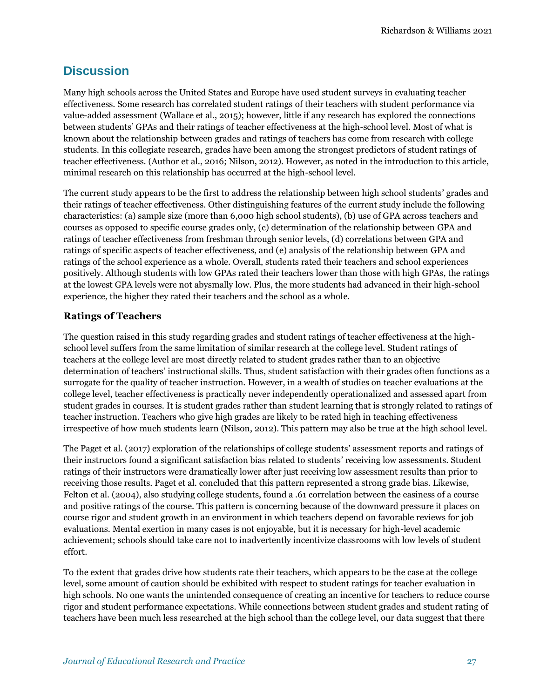# **Discussion**

Many high schools across the United States and Europe have used student surveys in evaluating teacher effectiveness. Some research has correlated student ratings of their teachers with student performance via value-added assessment (Wallace et al., 2015); however, little if any research has explored the connections between students' GPAs and their ratings of teacher effectiveness at the high-school level. Most of what is known about the relationship between grades and ratings of teachers has come from research with college students. In this collegiate research, grades have been among the strongest predictors of student ratings of teacher effectiveness. (Author et al., 2016; Nilson, 2012). However, as noted in the introduction to this article, minimal research on this relationship has occurred at the high-school level.

The current study appears to be the first to address the relationship between high school students' grades and their ratings of teacher effectiveness. Other distinguishing features of the current study include the following characteristics: (a) sample size (more than 6,000 high school students), (b) use of GPA across teachers and courses as opposed to specific course grades only, (c) determination of the relationship between GPA and ratings of teacher effectiveness from freshman through senior levels, (d) correlations between GPA and ratings of specific aspects of teacher effectiveness, and (e) analysis of the relationship between GPA and ratings of the school experience as a whole. Overall, students rated their teachers and school experiences positively. Although students with low GPAs rated their teachers lower than those with high GPAs, the ratings at the lowest GPA levels were not abysmally low. Plus, the more students had advanced in their high-school experience, the higher they rated their teachers and the school as a whole.

### **Ratings of Teachers**

The question raised in this study regarding grades and student ratings of teacher effectiveness at the highschool level suffers from the same limitation of similar research at the college level. Student ratings of teachers at the college level are most directly related to student grades rather than to an objective determination of teachers' instructional skills. Thus, student satisfaction with their grades often functions as a surrogate for the quality of teacher instruction. However, in a wealth of studies on teacher evaluations at the college level, teacher effectiveness is practically never independently operationalized and assessed apart from student grades in courses. It is student grades rather than student learning that is strongly related to ratings of teacher instruction. Teachers who give high grades are likely to be rated high in teaching effectiveness irrespective of how much students learn (Nilson, 2012). This pattern may also be true at the high school level.

The Paget et al. (2017) exploration of the relationships of college students' assessment reports and ratings of their instructors found a significant satisfaction bias related to students' receiving low assessments. Student ratings of their instructors were dramatically lower after just receiving low assessment results than prior to receiving those results. Paget et al. concluded that this pattern represented a strong grade bias. Likewise, Felton et al. (2004), also studying college students, found a .61 correlation between the easiness of a course and positive ratings of the course. This pattern is concerning because of the downward pressure it places on course rigor and student growth in an environment in which teachers depend on favorable reviews for job evaluations. Mental exertion in many cases is not enjoyable, but it is necessary for high-level academic achievement; schools should take care not to inadvertently incentivize classrooms with low levels of student effort.

To the extent that grades drive how students rate their teachers, which appears to be the case at the college level, some amount of caution should be exhibited with respect to student ratings for teacher evaluation in high schools. No one wants the unintended consequence of creating an incentive for teachers to reduce course rigor and student performance expectations. While connections between student grades and student rating of teachers have been much less researched at the high school than the college level, our data suggest that there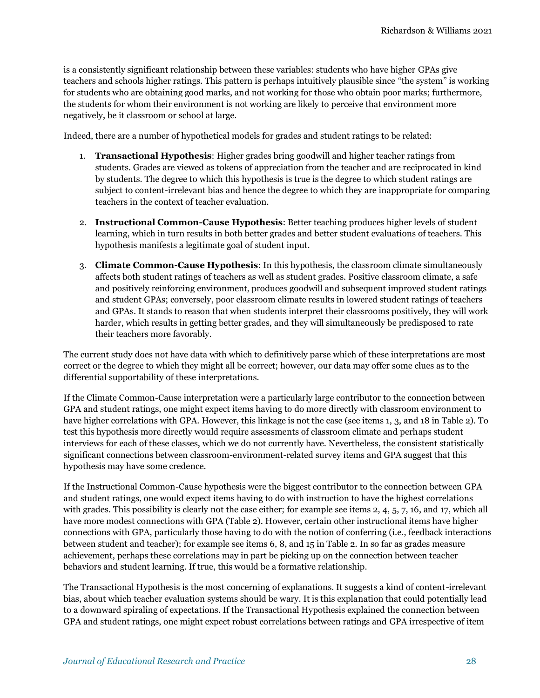is a consistently significant relationship between these variables: students who have higher GPAs give teachers and schools higher ratings. This pattern is perhaps intuitively plausible since "the system" is working for students who are obtaining good marks, and not working for those who obtain poor marks; furthermore, the students for whom their environment is not working are likely to perceive that environment more negatively, be it classroom or school at large.

Indeed, there are a number of hypothetical models for grades and student ratings to be related:

- 1. **Transactional Hypothesis**: Higher grades bring goodwill and higher teacher ratings from students. Grades are viewed as tokens of appreciation from the teacher and are reciprocated in kind by students. The degree to which this hypothesis is true is the degree to which student ratings are subject to content-irrelevant bias and hence the degree to which they are inappropriate for comparing teachers in the context of teacher evaluation.
- 2. **Instructional Common-Cause Hypothesis**: Better teaching produces higher levels of student learning, which in turn results in both better grades and better student evaluations of teachers. This hypothesis manifests a legitimate goal of student input.
- 3. **Climate Common-Cause Hypothesis**: In this hypothesis, the classroom climate simultaneously affects both student ratings of teachers as well as student grades. Positive classroom climate, a safe and positively reinforcing environment, produces goodwill and subsequent improved student ratings and student GPAs; conversely, poor classroom climate results in lowered student ratings of teachers and GPAs. It stands to reason that when students interpret their classrooms positively, they will work harder, which results in getting better grades, and they will simultaneously be predisposed to rate their teachers more favorably.

The current study does not have data with which to definitively parse which of these interpretations are most correct or the degree to which they might all be correct; however, our data may offer some clues as to the differential supportability of these interpretations.

If the Climate Common-Cause interpretation were a particularly large contributor to the connection between GPA and student ratings, one might expect items having to do more directly with classroom environment to have higher correlations with GPA. However, this linkage is not the case (see items 1, 3, and 18 in Table 2). To test this hypothesis more directly would require assessments of classroom climate and perhaps student interviews for each of these classes, which we do not currently have. Nevertheless, the consistent statistically significant connections between classroom-environment-related survey items and GPA suggest that this hypothesis may have some credence.

If the Instructional Common-Cause hypothesis were the biggest contributor to the connection between GPA and student ratings, one would expect items having to do with instruction to have the highest correlations with grades. This possibility is clearly not the case either; for example see items 2, 4, 5, 7, 16, and 17, which all have more modest connections with GPA (Table 2). However, certain other instructional items have higher connections with GPA, particularly those having to do with the notion of conferring (i.e., feedback interactions between student and teacher); for example see items 6, 8, and 15 in Table 2. In so far as grades measure achievement, perhaps these correlations may in part be picking up on the connection between teacher behaviors and student learning. If true, this would be a formative relationship.

The Transactional Hypothesis is the most concerning of explanations. It suggests a kind of content-irrelevant bias, about which teacher evaluation systems should be wary. It is this explanation that could potentially lead to a downward spiraling of expectations. If the Transactional Hypothesis explained the connection between GPA and student ratings, one might expect robust correlations between ratings and GPA irrespective of item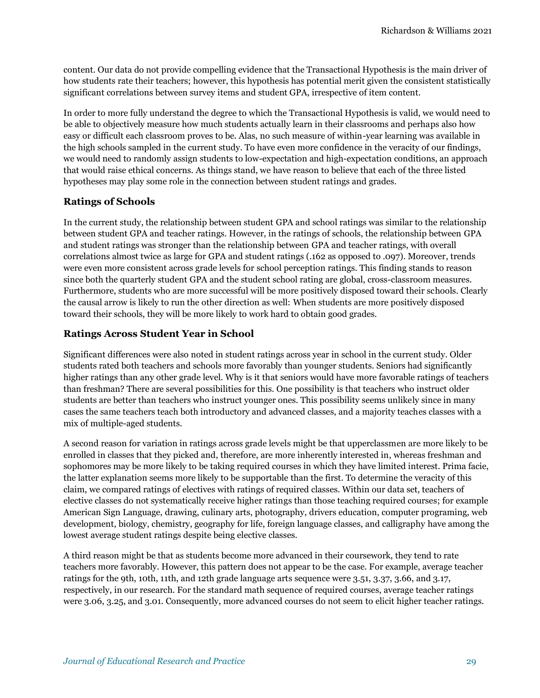content. Our data do not provide compelling evidence that the Transactional Hypothesis is the main driver of how students rate their teachers; however, this hypothesis has potential merit given the consistent statistically significant correlations between survey items and student GPA, irrespective of item content.

In order to more fully understand the degree to which the Transactional Hypothesis is valid, we would need to be able to objectively measure how much students actually learn in their classrooms and perhaps also how easy or difficult each classroom proves to be. Alas, no such measure of within-year learning was available in the high schools sampled in the current study. To have even more confidence in the veracity of our findings, we would need to randomly assign students to low-expectation and high-expectation conditions, an approach that would raise ethical concerns. As things stand, we have reason to believe that each of the three listed hypotheses may play some role in the connection between student ratings and grades.

### **Ratings of Schools**

In the current study, the relationship between student GPA and school ratings was similar to the relationship between student GPA and teacher ratings. However, in the ratings of schools, the relationship between GPA and student ratings was stronger than the relationship between GPA and teacher ratings, with overall correlations almost twice as large for GPA and student ratings (.162 as opposed to .097). Moreover, trends were even more consistent across grade levels for school perception ratings. This finding stands to reason since both the quarterly student GPA and the student school rating are global, cross-classroom measures. Furthermore, students who are more successful will be more positively disposed toward their schools. Clearly the causal arrow is likely to run the other direction as well: When students are more positively disposed toward their schools, they will be more likely to work hard to obtain good grades.

### **Ratings Across Student Year in School**

Significant differences were also noted in student ratings across year in school in the current study. Older students rated both teachers and schools more favorably than younger students. Seniors had significantly higher ratings than any other grade level. Why is it that seniors would have more favorable ratings of teachers than freshman? There are several possibilities for this. One possibility is that teachers who instruct older students are better than teachers who instruct younger ones. This possibility seems unlikely since in many cases the same teachers teach both introductory and advanced classes, and a majority teaches classes with a mix of multiple-aged students.

A second reason for variation in ratings across grade levels might be that upperclassmen are more likely to be enrolled in classes that they picked and, therefore, are more inherently interested in, whereas freshman and sophomores may be more likely to be taking required courses in which they have limited interest. Prima facie, the latter explanation seems more likely to be supportable than the first. To determine the veracity of this claim, we compared ratings of electives with ratings of required classes. Within our data set, teachers of elective classes do not systematically receive higher ratings than those teaching required courses; for example American Sign Language, drawing, culinary arts, photography, drivers education, computer programing, web development, biology, chemistry, geography for life, foreign language classes, and calligraphy have among the lowest average student ratings despite being elective classes.

A third reason might be that as students become more advanced in their coursework, they tend to rate teachers more favorably. However, this pattern does not appear to be the case. For example, average teacher ratings for the 9th, 10th, 11th, and 12th grade language arts sequence were 3.51, 3.37, 3.66, and 3.17, respectively, in our research. For the standard math sequence of required courses, average teacher ratings were 3.06, 3.25, and 3.01. Consequently, more advanced courses do not seem to elicit higher teacher ratings.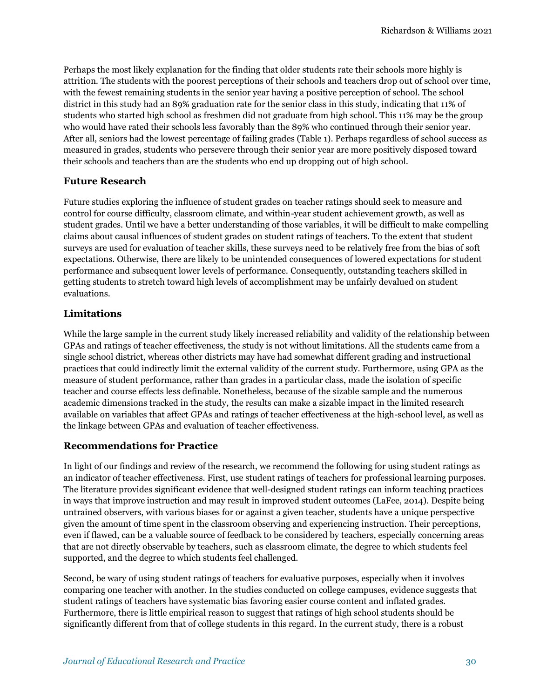Perhaps the most likely explanation for the finding that older students rate their schools more highly is attrition. The students with the poorest perceptions of their schools and teachers drop out of school over time, with the fewest remaining students in the senior year having a positive perception of school. The school district in this study had an 89% graduation rate for the senior class in this study, indicating that 11% of students who started high school as freshmen did not graduate from high school. This 11% may be the group who would have rated their schools less favorably than the 89% who continued through their senior year. After all, seniors had the lowest percentage of failing grades (Table 1). Perhaps regardless of school success as measured in grades, students who persevere through their senior year are more positively disposed toward their schools and teachers than are the students who end up dropping out of high school.

### **Future Research**

Future studies exploring the influence of student grades on teacher ratings should seek to measure and control for course difficulty, classroom climate, and within-year student achievement growth, as well as student grades. Until we have a better understanding of those variables, it will be difficult to make compelling claims about causal influences of student grades on student ratings of teachers. To the extent that student surveys are used for evaluation of teacher skills, these surveys need to be relatively free from the bias of soft expectations. Otherwise, there are likely to be unintended consequences of lowered expectations for student performance and subsequent lower levels of performance. Consequently, outstanding teachers skilled in getting students to stretch toward high levels of accomplishment may be unfairly devalued on student evaluations.

### **Limitations**

While the large sample in the current study likely increased reliability and validity of the relationship between GPAs and ratings of teacher effectiveness, the study is not without limitations. All the students came from a single school district, whereas other districts may have had somewhat different grading and instructional practices that could indirectly limit the external validity of the current study. Furthermore, using GPA as the measure of student performance, rather than grades in a particular class, made the isolation of specific teacher and course effects less definable. Nonetheless, because of the sizable sample and the numerous academic dimensions tracked in the study, the results can make a sizable impact in the limited research available on variables that affect GPAs and ratings of teacher effectiveness at the high-school level, as well as the linkage between GPAs and evaluation of teacher effectiveness.

### **Recommendations for Practice**

In light of our findings and review of the research, we recommend the following for using student ratings as an indicator of teacher effectiveness. First, use student ratings of teachers for professional learning purposes. The literature provides significant evidence that well-designed student ratings can inform teaching practices in ways that improve instruction and may result in improved student outcomes (LaFee, 2014). Despite being untrained observers, with various biases for or against a given teacher, students have a unique perspective given the amount of time spent in the classroom observing and experiencing instruction. Their perceptions, even if flawed, can be a valuable source of feedback to be considered by teachers, especially concerning areas that are not directly observable by teachers, such as classroom climate, the degree to which students feel supported, and the degree to which students feel challenged.

Second, be wary of using student ratings of teachers for evaluative purposes, especially when it involves comparing one teacher with another. In the studies conducted on college campuses, evidence suggests that student ratings of teachers have systematic bias favoring easier course content and inflated grades. Furthermore, there is little empirical reason to suggest that ratings of high school students should be significantly different from that of college students in this regard. In the current study, there is a robust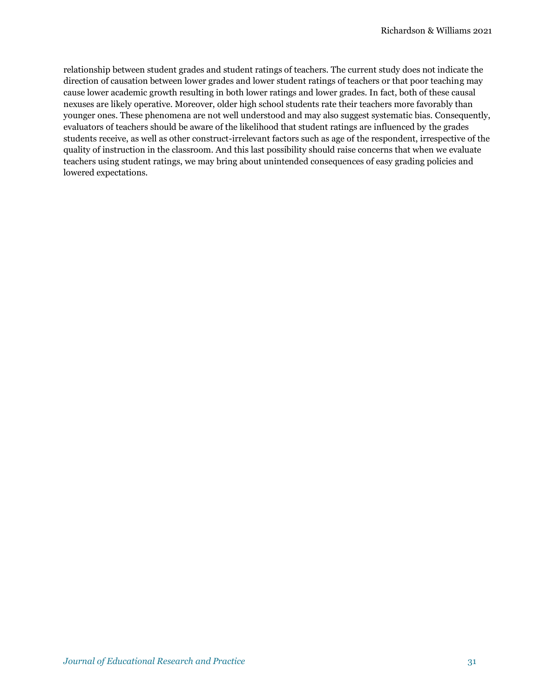relationship between student grades and student ratings of teachers. The current study does not indicate the direction of causation between lower grades and lower student ratings of teachers or that poor teaching may cause lower academic growth resulting in both lower ratings and lower grades. In fact, both of these causal nexuses are likely operative. Moreover, older high school students rate their teachers more favorably than younger ones. These phenomena are not well understood and may also suggest systematic bias. Consequently, evaluators of teachers should be aware of the likelihood that student ratings are influenced by the grades students receive, as well as other construct-irrelevant factors such as age of the respondent, irrespective of the quality of instruction in the classroom. And this last possibility should raise concerns that when we evaluate teachers using student ratings, we may bring about unintended consequences of easy grading policies and lowered expectations.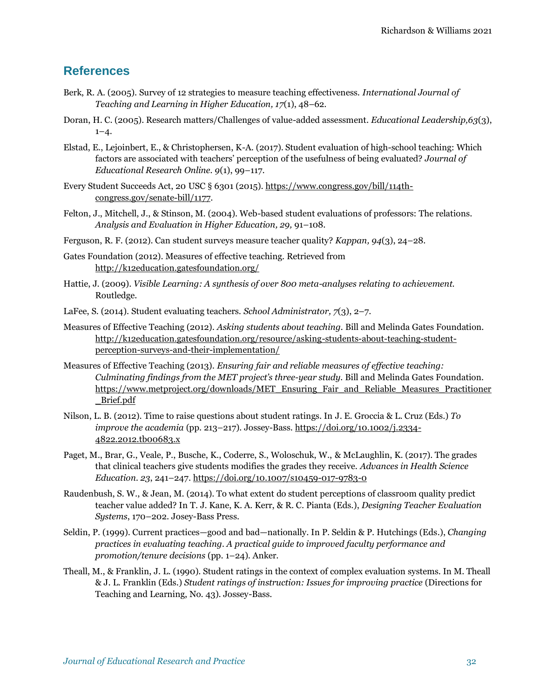### **References**

- Berk, R. A. (2005). Survey of 12 strategies to measure teaching effectiveness. *International Journal of Teaching and Learning in Higher Education, 17*(1), 48–62.
- Doran, H. C. (2005). Research matters/Challenges of value-added assessment. *Educational Leadership,63*(3),  $1 - 4.$
- Elstad, E., Lejoinbert, E., & Christophersen, K-A. (2017). Student evaluation of high-school teaching: Which factors are associated with teachers' perception of the usefulness of being evaluated? *Journal of Educational Research Online. 9*(1), 99–117.
- Every Student Succeeds Act, 20 USC § 6301 (2015). [https://www.congress.gov/bill/114th](https://www.congress.gov/bill/114th-congress.gov/senate-bill/1177)[congress.gov/senate-bill/1177.](https://www.congress.gov/bill/114th-congress.gov/senate-bill/1177)
- Felton, J., Mitchell, J., & Stinson, M. (2004). Web-based student evaluations of professors: The relations. *Analysis and Evaluation in Higher Education, 29,* 91–108.
- Ferguson, R. F. (2012). Can student surveys measure teacher quality? *Kappan, 94*(3), 24–28.
- Gates Foundation (2012). Measures of effective teaching. Retrieved from <http://k12education.gatesfoundation.org/>
- Hattie, J. (2009). *Visible Learning: A synthesis of over 800 meta-analyses relating to achievement.* Routledge.
- LaFee, S. (2014). Student evaluating teachers. *School Administrator, 7*(3), 2–7.
- Measures of Effective Teaching (2012). *Asking students about teaching.* Bill and Melinda Gates Foundation. [http://k12education.gatesfoundation.org/resource/asking-students-about-teaching-student](http://k12education.gatesfoundation.org/resource/asking-students-about-teaching-student-perception-surveys-and-their-implementation/)[perception-surveys-and-their-implementation/](http://k12education.gatesfoundation.org/resource/asking-students-about-teaching-student-perception-surveys-and-their-implementation/)
- Measures of Effective Teaching (2013). *Ensuring fair and reliable measures of effective teaching: Culminating findings from the MET project's three-year study.* Bill and Melinda Gates Foundation. [https://www.metproject.org/downloads/MET\\_Ensuring\\_Fair\\_and\\_Reliable\\_Measures\\_Practitioner](https://www.metproject.org/downloads/MET_Ensuring_Fair_and_Reliable_Measures_Practitioner_Brief.pdf) [\\_Brief.pdf](https://www.metproject.org/downloads/MET_Ensuring_Fair_and_Reliable_Measures_Practitioner_Brief.pdf)
- Nilson, L. B. (2012). Time to raise questions about student ratings. In J. E. Groccia & L. Cruz (Eds.) *To improve the academia* (pp. 213–217)*.* Jossey-Bass[. https://doi.org/10.1002/j.2334-](https://doi.org/10.1002/j.2334-4822.2012.tb00683.x) [4822.2012.tb00683.x](https://doi.org/10.1002/j.2334-4822.2012.tb00683.x)
- Paget, M., Brar, G., Veale, P., Busche, K., Coderre, S., Woloschuk, W., & McLaughlin, K. (2017). The grades that clinical teachers give students modifies the grades they receive. *Advances in Health Science Education. 23*, 241–247[. https://doi.org/10.1007/s10459-017-9783-0](https://doi.org/10.1007/s10459-017-9783-0)
- Raudenbush, S. W., & Jean, M. (2014). To what extent do student perceptions of classroom quality predict teacher value added? In T. J. Kane, K. A. Kerr, & R. C. Pianta (Eds.), *Designing Teacher Evaluation Systems*, 170–202. Josey-Bass Press.
- Seldin, P. (1999). Current practices—good and bad—nationally. In P. Seldin & P. Hutchings (Eds.), *Changing practices in evaluating teaching. A practical guide to improved faculty performance and promotion/tenure decisions* (pp. 1–24). Anker.
- Theall, M., & Franklin, J. L. (1990). Student ratings in the context of complex evaluation systems. In M. Theall & J. L. Franklin (Eds.) *Student ratings of instruction: Issues for improving practice* (Directions for Teaching and Learning, No. 43). Jossey-Bass.